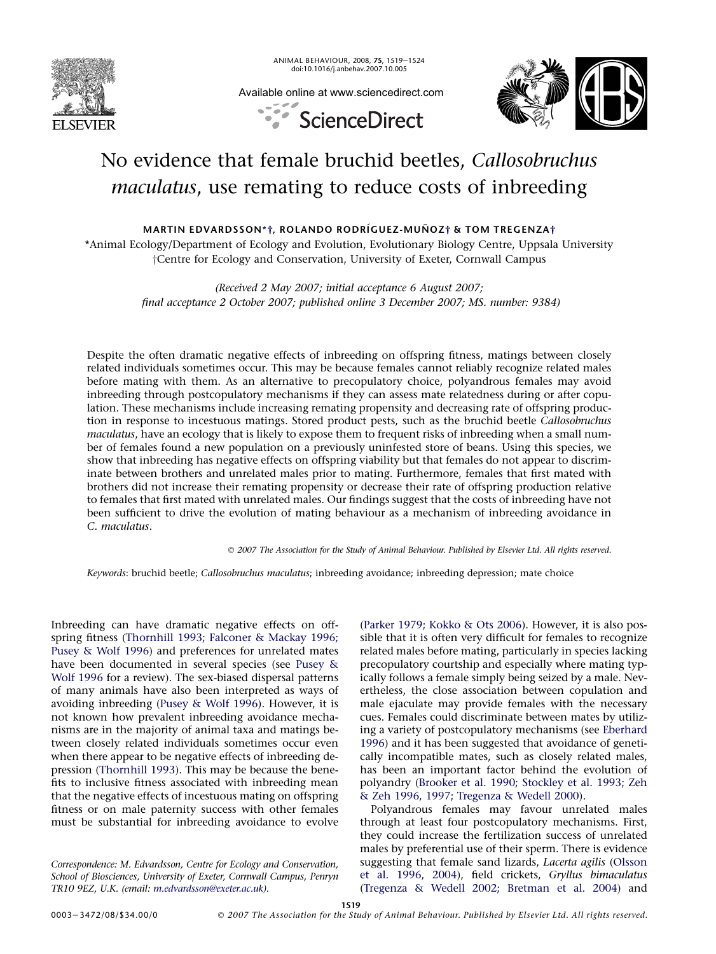

ANIMAL BEHAVIOUR, 2008, 75, 1519-1524 doi:10.1016/j.anbehav.2007.10.005







# No evidence that female bruchid beetles, Callosobruchus maculatus, use remating to reduce costs of inbreeding

MARTIN EDVARDSSON\*†, ROLANDO RODRÍGUEZ-MUÑOZ† & TOM TREGENZA†

\*Animal Ecology/Department of Ecology and Evolution, Evolutionary Biology Centre, Uppsala University <sup>†</sup>Centre for Ecology and Conservation, University of Exeter, Cornwall Campus

> (Received 2 May 2007; initial acceptance 6 August 2007; final acceptance 2 October 2007; published online 3 December 2007; MS. number: 9384)

Despite the often dramatic negative effects of inbreeding on offspring fitness, matings between closely related individuals sometimes occur. This may be because females cannot reliably recognize related males before mating with them. As an alternative to precopulatory choice, polyandrous females may avoid inbreeding through postcopulatory mechanisms if they can assess mate relatedness during or after copulation. These mechanisms include increasing remating propensity and decreasing rate of offspring production in response to incestuous matings. Stored product pests, such as the bruchid beetle Callosobruchus maculatus, have an ecology that is likely to expose them to frequent risks of inbreeding when a small number of females found a new population on a previously uninfested store of beans. Using this species, we show that inbreeding has negative effects on offspring viability but that females do not appear to discriminate between brothers and unrelated males prior to mating. Furthermore, females that first mated with brothers did not increase their remating propensity or decrease their rate of offspring production relative to females that first mated with unrelated males. Our findings suggest that the costs of inbreeding have not been sufficient to drive the evolution of mating behaviour as a mechanism of inbreeding avoidance in C. maculatus.

- 2007 The Association for the Study of Animal Behaviour. Published by Elsevier Ltd. All rights reserved.

Keywords: bruchid beetle; Callosobruchus maculatus; inbreeding avoidance; inbreeding depression; mate choice

Inbreeding can have dramatic negative effects on offspring fitness ([Thornhill 1993; Falconer & Mackay 1996;](#page-5-0) [Pusey & Wolf 1996\)](#page-5-0) and preferences for unrelated mates have been documented in several species (see [Pusey &](#page-5-0) [Wolf 1996](#page-5-0) for a review). The sex-biased dispersal patterns of many animals have also been interpreted as ways of avoiding inbreeding [\(Pusey & Wolf 1996\)](#page-5-0). However, it is not known how prevalent inbreeding avoidance mechanisms are in the majority of animal taxa and matings between closely related individuals sometimes occur even when there appear to be negative effects of inbreeding depression ([Thornhill 1993\)](#page-5-0). This may be because the benefits to inclusive fitness associated with inbreeding mean that the negative effects of incestuous mating on offspring fitness or on male paternity success with other females must be substantial for inbreeding avoidance to evolve

Correspondence: M. Edvardsson, Centre for Ecology and Conservation, School of Biosciences, University of Exeter, Cornwall Campus, Penryn TR10 9EZ, U.K. (email: [m.edvardsson@exeter.ac.uk](mailto:m.edvardsson@exeter.ac.uk)).

([Parker 1979; Kokko & Ots 2006](#page-5-0)). However, it is also possible that it is often very difficult for females to recognize related males before mating, particularly in species lacking precopulatory courtship and especially where mating typically follows a female simply being seized by a male. Nevertheless, the close association between copulation and male ejaculate may provide females with the necessary cues. Females could discriminate between mates by utilizing a variety of postcopulatory mechanisms (see [Eberhard](#page-4-0) [1996](#page-4-0)) and it has been suggested that avoidance of genetically incompatible mates, such as closely related males, has been an important factor behind the evolution of polyandry [\(Brooker et al. 1990; Stockley et al. 1993; Zeh](#page-4-0) [& Zeh 1996, 1997; Tregenza & Wedell 2000\)](#page-4-0).

Polyandrous females may favour unrelated males through at least four postcopulatory mechanisms. First, they could increase the fertilization success of unrelated males by preferential use of their sperm. There is evidence suggesting that female sand lizards, Lacerta agilis [\(Olsson](#page-4-0) [et al. 1996, 2004](#page-4-0)), field crickets, Gryllus bimaculatus ([Tregenza & Wedell 2002; Bretman et al. 2004\)](#page-5-0) and

1519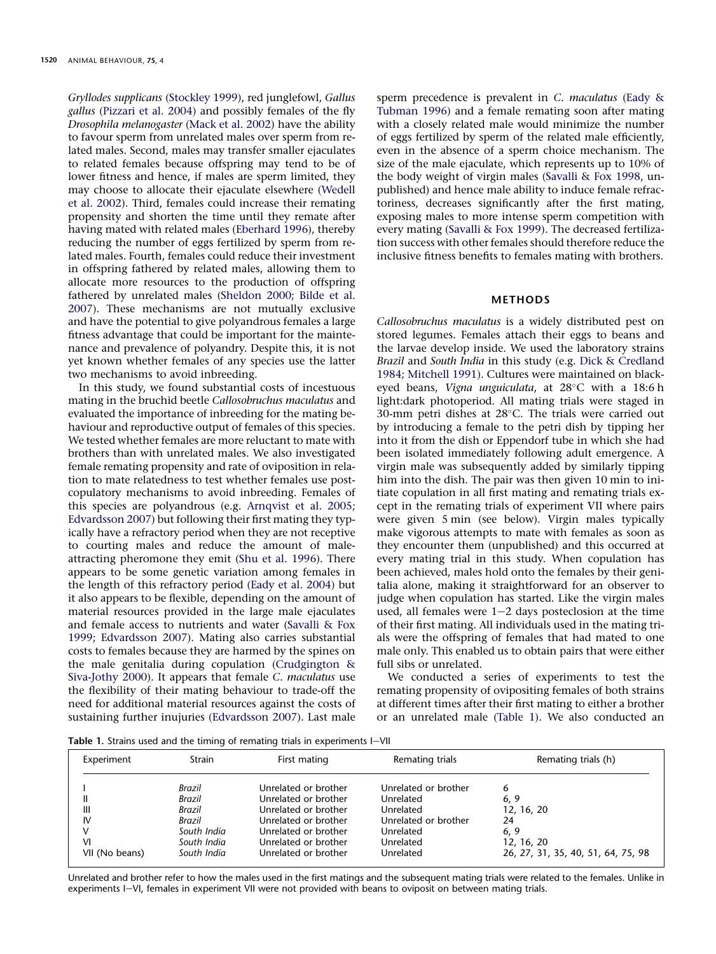<span id="page-1-0"></span>Gryllodes supplicans ([Stockley 1999\)](#page-5-0), red junglefowl, Gallus gallus ([Pizzari et al. 2004](#page-5-0)) and possibly females of the fly Drosophila melanogaster ([Mack et al. 2002\)](#page-4-0) have the ability to favour sperm from unrelated males over sperm from related males. Second, males may transfer smaller ejaculates to related females because offspring may tend to be of lower fitness and hence, if males are sperm limited, they may choose to allocate their ejaculate elsewhere [\(Wedell](#page-5-0) [et al. 2002](#page-5-0)). Third, females could increase their remating propensity and shorten the time until they remate after having mated with related males [\(Eberhard 1996](#page-4-0)), thereby reducing the number of eggs fertilized by sperm from related males. Fourth, females could reduce their investment in offspring fathered by related males, allowing them to allocate more resources to the production of offspring fathered by unrelated males ([Sheldon 2000; Bilde et al.](#page-5-0) [2007](#page-5-0)). These mechanisms are not mutually exclusive and have the potential to give polyandrous females a large fitness advantage that could be important for the maintenance and prevalence of polyandry. Despite this, it is not yet known whether females of any species use the latter two mechanisms to avoid inbreeding.

In this study, we found substantial costs of incestuous mating in the bruchid beetle Callosobruchus maculatus and evaluated the importance of inbreeding for the mating behaviour and reproductive output of females of this species. We tested whether females are more reluctant to mate with brothers than with unrelated males. We also investigated female remating propensity and rate of oviposition in relation to mate relatedness to test whether females use postcopulatory mechanisms to avoid inbreeding. Females of this species are polyandrous (e.g. [Arnqvist et al. 2005;](#page-4-0) [Edvardsson 2007](#page-4-0)) but following their first mating they typically have a refractory period when they are not receptive to courting males and reduce the amount of maleattracting pheromone they emit ([Shu et al. 1996](#page-5-0)). There appears to be some genetic variation among females in the length of this refractory period ([Eady et al. 2004\)](#page-4-0) but it also appears to be flexible, depending on the amount of material resources provided in the large male ejaculates and female access to nutrients and water [\(Savalli & Fox](#page-5-0) [1999; Edvardsson 2007\)](#page-5-0). Mating also carries substantial costs to females because they are harmed by the spines on the male genitalia during copulation [\(Crudgington &](#page-4-0) [Siva-Jothy 2000](#page-4-0)). It appears that female C. maculatus use the flexibility of their mating behaviour to trade-off the need for additional material resources against the costs of sustaining further inujuries ([Edvardsson 2007](#page-4-0)). Last male

sperm precedence is prevalent in C. maculatus [\(Eady &](#page-4-0) [Tubman 1996](#page-4-0)) and a female remating soon after mating with a closely related male would minimize the number of eggs fertilized by sperm of the related male efficiently, even in the absence of a sperm choice mechanism. The size of the male ejaculate, which represents up to 10% of the body weight of virgin males [\(Savalli & Fox 1998,](#page-5-0) unpublished) and hence male ability to induce female refractoriness, decreases significantly after the first mating, exposing males to more intense sperm competition with every mating [\(Savalli & Fox 1999](#page-5-0)). The decreased fertilization success with other females should therefore reduce the inclusive fitness benefits to females mating with brothers.

#### METHODS

Callosobruchus maculatus is a widely distributed pest on stored legumes. Females attach their eggs to beans and the larvae develop inside. We used the laboratory strains Brazil and South India in this study (e.g. [Dick & Credland](#page-4-0) [1984; Mitchell 1991](#page-4-0)). Cultures were maintained on blackeyed beans, Vigna unguiculata, at 28°C with a 18:6 h light:dark photoperiod. All mating trials were staged in 30-mm petri dishes at 28°C. The trials were carried out by introducing a female to the petri dish by tipping her into it from the dish or Eppendorf tube in which she had been isolated immediately following adult emergence. A virgin male was subsequently added by similarly tipping him into the dish. The pair was then given 10 min to initiate copulation in all first mating and remating trials except in the remating trials of experiment VII where pairs were given 5 min (see below). Virgin males typically make vigorous attempts to mate with females as soon as they encounter them (unpublished) and this occurred at every mating trial in this study. When copulation has been achieved, males hold onto the females by their genitalia alone, making it straightforward for an observer to judge when copulation has started. Like the virgin males used, all females were  $1-2$  days posteclosion at the time of their first mating. All individuals used in the mating trials were the offspring of females that had mated to one male only. This enabled us to obtain pairs that were either full sibs or unrelated.

We conducted a series of experiments to test the remating propensity of ovipositing females of both strains at different times after their first mating to either a brother or an unrelated male (Table 1). We also conducted an

Table 1. Strains used and the timing of remating trials in experiments I-VII

| Experiment<br><b>Strain</b> |               | First mating         | Remating trials      | Remating trials (h)                |  |
|-----------------------------|---------------|----------------------|----------------------|------------------------------------|--|
|                             | Brazil        | Unrelated or brother | Unrelated or brother |                                    |  |
|                             | Brazil        | Unrelated or brother | Unrelated            | 6, 9                               |  |
| Ш                           | <b>Brazil</b> | Unrelated or brother | Unrelated            | 12, 16, 20                         |  |
| IV                          | Brazil        | Unrelated or brother | Unrelated or brother | 24                                 |  |
|                             | South India   | Unrelated or brother | Unrelated            | 6, 9                               |  |
| VI                          | South India   | Unrelated or brother | Unrelated            | 12, 16, 20                         |  |
| VII (No beans)              | South India   | Unrelated or brother | Unrelated            | 26, 27, 31, 35, 40, 51, 64, 75, 98 |  |

Unrelated and brother refer to how the males used in the first matings and the subsequent mating trials were related to the females. Unlike in experiments I-VI, females in experiment VII were not provided with beans to oviposit on between mating trials.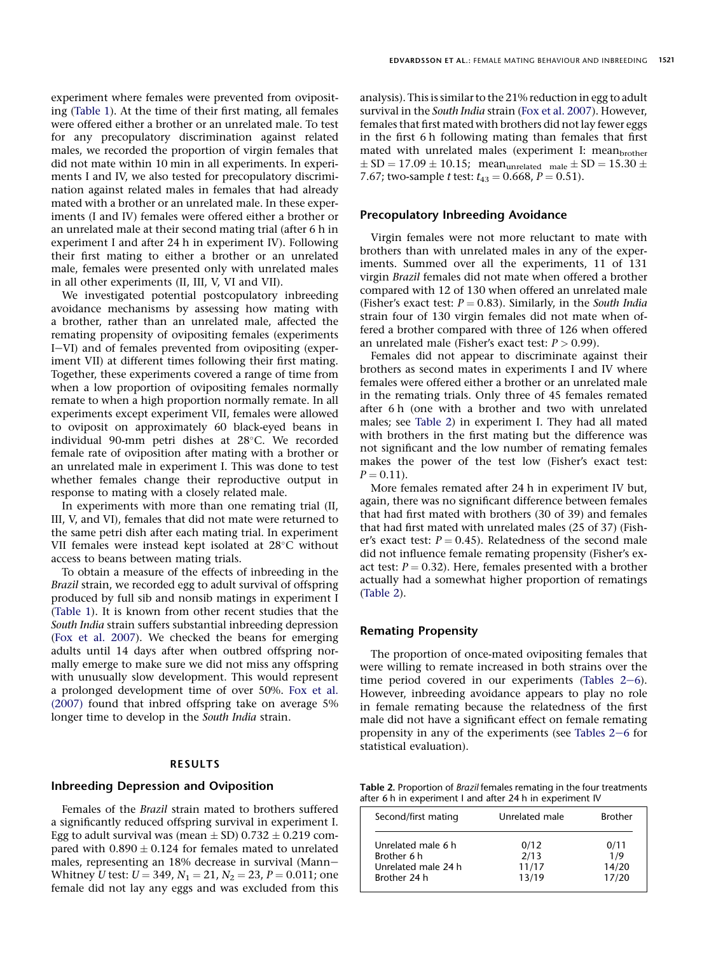experiment where females were prevented from ovipositing ([Table 1\)](#page-1-0). At the time of their first mating, all females were offered either a brother or an unrelated male. To test for any precopulatory discrimination against related males, we recorded the proportion of virgin females that did not mate within 10 min in all experiments. In experiments I and IV, we also tested for precopulatory discrimination against related males in females that had already mated with a brother or an unrelated male. In these experiments (I and IV) females were offered either a brother or an unrelated male at their second mating trial (after 6 h in experiment I and after 24 h in experiment IV). Following their first mating to either a brother or an unrelated male, females were presented only with unrelated males in all other experiments (II, III, V, VI and VII).

We investigated potential postcopulatory inbreeding avoidance mechanisms by assessing how mating with a brother, rather than an unrelated male, affected the remating propensity of ovipositing females (experiments I–VI) and of females prevented from ovipositing (experiment VII) at different times following their first mating. Together, these experiments covered a range of time from when a low proportion of ovipositing females normally remate to when a high proportion normally remate. In all experiments except experiment VII, females were allowed to oviposit on approximately 60 black-eyed beans in individual 90-mm petri dishes at 28°C. We recorded female rate of oviposition after mating with a brother or an unrelated male in experiment I. This was done to test whether females change their reproductive output in response to mating with a closely related male.

In experiments with more than one remating trial (II, III, V, and VI), females that did not mate were returned to the same petri dish after each mating trial. In experiment VII females were instead kept isolated at 28°C without access to beans between mating trials.

To obtain a measure of the effects of inbreeding in the Brazil strain, we recorded egg to adult survival of offspring produced by full sib and nonsib matings in experiment I ([Table 1\)](#page-1-0). It is known from other recent studies that the South India strain suffers substantial inbreeding depression ([Fox et al. 2007\)](#page-4-0). We checked the beans for emerging adults until 14 days after when outbred offspring normally emerge to make sure we did not miss any offspring with unusually slow development. This would represent a prolonged development time of over 50%. [Fox et al.](#page-4-0) [\(2007\)](#page-4-0) found that inbred offspring take on average 5% longer time to develop in the South India strain.

## RESULTS

#### Inbreeding Depression and Oviposition

Females of the Brazil strain mated to brothers suffered a significantly reduced offspring survival in experiment I. Egg to adult survival was (mean  $\pm$  SD) 0.732  $\pm$  0.219 compared with  $0.890 \pm 0.124$  for females mated to unrelated males, representing an 18% decrease in survival (Mann-Whitney *U* test:  $U = 349$ ,  $N_1 = 21$ ,  $N_2 = 23$ ,  $P = 0.011$ ; one female did not lay any eggs and was excluded from this analysis). This is similar to the 21% reduction in egg to adult survival in the South India strain ([Fox et al. 2007](#page-4-0)). However, females that first mated with brothers did not lay fewer eggs in the first 6 h following mating than females that first mated with unrelated males (experiment I: meanbrother  $\pm$  SD = 17.09  $\pm$  10.15; mean<sub>unrelated male</sub>  $\pm$  SD = 15.30  $\pm$ 7.67; two-sample t test:  $t_{43} = 0.668$ ,  $P = 0.51$ ).

#### Precopulatory Inbreeding Avoidance

Virgin females were not more reluctant to mate with brothers than with unrelated males in any of the experiments. Summed over all the experiments, 11 of 131 virgin Brazil females did not mate when offered a brother compared with 12 of 130 when offered an unrelated male (Fisher's exact test:  $P = 0.83$ ). Similarly, in the South India strain four of 130 virgin females did not mate when offered a brother compared with three of 126 when offered an unrelated male (Fisher's exact test:  $P > 0.99$ ).

Females did not appear to discriminate against their brothers as second mates in experiments I and IV where females were offered either a brother or an unrelated male in the remating trials. Only three of 45 females remated after 6 h (one with a brother and two with unrelated males; see Table 2) in experiment I. They had all mated with brothers in the first mating but the difference was not significant and the low number of remating females makes the power of the test low (Fisher's exact test:  $P = 0.11$ .

More females remated after 24 h in experiment IV but, again, there was no significant difference between females that had first mated with brothers (30 of 39) and females that had first mated with unrelated males (25 of 37) (Fisher's exact test:  $P = 0.45$ ). Relatedness of the second male did not influence female remating propensity (Fisher's exact test:  $P = 0.32$ ). Here, females presented with a brother actually had a somewhat higher proportion of rematings (Table 2).

#### Remating Propensity

The proportion of once-mated ovipositing females that were willing to remate increased in both strains over the time period covered in our experiments (Tables  $2-6$ ). However, inbreeding avoidance appears to play no role in female remating because the relatedness of the first male did not have a significant effect on female remating propensity in any of the experiments (see Tables  $2-6$  for statistical evaluation).

Table 2. Proportion of *Brazil* females remating in the four treatments after 6 h in experiment I and after 24 h in experiment IV

| Second/first mating | Unrelated male | <b>Brother</b> |
|---------------------|----------------|----------------|
| Unrelated male 6 h  | 0/12           | 0/11           |
| Brother 6 h         | 2/13           | 1/9            |
| Unrelated male 24 h | 11/17          | 14/20          |
| Brother 24 h        | 13/19          | 17/20          |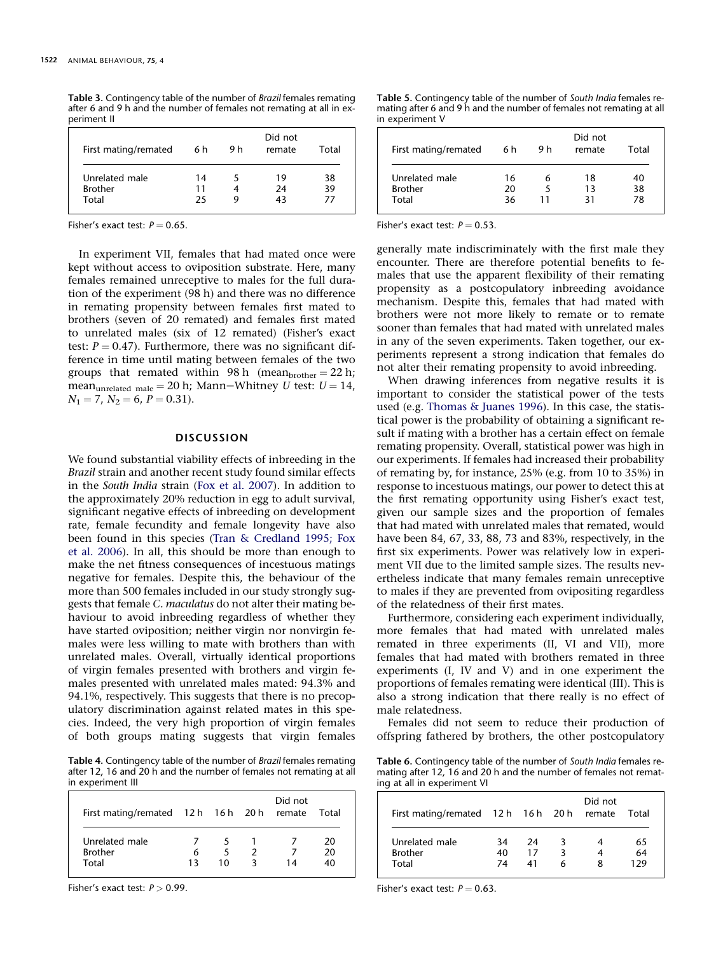| First mating/remated | 6 h | 9 h | Did not<br>remate | Total |
|----------------------|-----|-----|-------------------|-------|
| Unrelated male       | 14  |     | 19                | 38    |
| <b>Brother</b>       | 11  |     | 24                | 39    |
| Total                | 25  |     | 43                | 77    |

Table 3. Contingency table of the number of *Brazil* females remating after 6 and 9 h and the number of females not remating at all in experiment II

Fisher's exact test:  $P = 0.65$ .

In experiment VII, females that had mated once were kept without access to oviposition substrate. Here, many females remained unreceptive to males for the full duration of the experiment (98 h) and there was no difference in remating propensity between females first mated to brothers (seven of 20 remated) and females first mated to unrelated males (six of 12 remated) (Fisher's exact test:  $P = 0.47$ ). Furthermore, there was no significant difference in time until mating between females of the two groups that remated within 98 h (mean $_{\text{brother}} = 22$  h; mean<sub>unrelated male</sub> = 20 h; Mann-Whitney U test:  $U = 14$ ,  $N_1 = 7$ ,  $N_2 = 6$ ,  $P = 0.31$ ).

#### **DISCUSSION**

We found substantial viability effects of inbreeding in the Brazil strain and another recent study found similar effects in the South India strain [\(Fox et al. 2007](#page-4-0)). In addition to the approximately 20% reduction in egg to adult survival, significant negative effects of inbreeding on development rate, female fecundity and female longevity have also been found in this species [\(Tran & Credland 1995; Fox](#page-5-0) [et al. 2006\)](#page-5-0). In all, this should be more than enough to make the net fitness consequences of incestuous matings negative for females. Despite this, the behaviour of the more than 500 females included in our study strongly suggests that female C. maculatus do not alter their mating behaviour to avoid inbreeding regardless of whether they have started oviposition; neither virgin nor nonvirgin females were less willing to mate with brothers than with unrelated males. Overall, virtually identical proportions of virgin females presented with brothers and virgin females presented with unrelated males mated: 94.3% and 94.1%, respectively. This suggests that there is no precopulatory discrimination against related mates in this species. Indeed, the very high proportion of virgin females of both groups mating suggests that virgin females

Table 4. Contingency table of the number of Brazil females remating after 12, 16 and 20 h and the number of females not remating at all in experiment III

| First mating/remated 12h 16h 20h remate Total |    |               |   | Did not |    |
|-----------------------------------------------|----|---------------|---|---------|----|
| Unrelated male                                |    | $\mathcal{F}$ |   |         | 20 |
| <b>Brother</b>                                | 6  | 5             |   |         | 20 |
| Total                                         | 13 | 10            | ς | 14      |    |

Fisher's exact test:  $P > 0.99$ .

Table 5. Contingency table of the number of South India females remating after 6 and 9 h and the number of females not remating at all in experiment V

| First mating/remated                      | 6 h            | 9 h     | Did not<br>remate | Total          |
|-------------------------------------------|----------------|---------|-------------------|----------------|
| Unrelated male<br><b>Brother</b><br>Total | 16<br>20<br>36 | 6<br>11 | 18<br>13<br>31    | 40<br>38<br>78 |

Fisher's exact test:  $P = 0.53$ .

generally mate indiscriminately with the first male they encounter. There are therefore potential benefits to females that use the apparent flexibility of their remating propensity as a postcopulatory inbreeding avoidance mechanism. Despite this, females that had mated with brothers were not more likely to remate or to remate sooner than females that had mated with unrelated males in any of the seven experiments. Taken together, our experiments represent a strong indication that females do not alter their remating propensity to avoid inbreeding.

When drawing inferences from negative results it is important to consider the statistical power of the tests used (e.g. [Thomas & Juanes 1996\)](#page-5-0). In this case, the statistical power is the probability of obtaining a significant result if mating with a brother has a certain effect on female remating propensity. Overall, statistical power was high in our experiments. If females had increased their probability of remating by, for instance, 25% (e.g. from 10 to 35%) in response to incestuous matings, our power to detect this at the first remating opportunity using Fisher's exact test, given our sample sizes and the proportion of females that had mated with unrelated males that remated, would have been 84, 67, 33, 88, 73 and 83%, respectively, in the first six experiments. Power was relatively low in experiment VII due to the limited sample sizes. The results nevertheless indicate that many females remain unreceptive to males if they are prevented from ovipositing regardless of the relatedness of their first mates.

Furthermore, considering each experiment individually, more females that had mated with unrelated males remated in three experiments (II, VI and VII), more females that had mated with brothers remated in three experiments (I, IV and V) and in one experiment the proportions of females remating were identical (III). This is also a strong indication that there really is no effect of male relatedness.

Females did not seem to reduce their production of offspring fathered by brothers, the other postcopulatory

Table 6. Contingency table of the number of South India females remating after 12, 16 and 20 h and the number of females not remating at all in experiment VI

| First mating/remated 12 h 16 h 20 h remate |    |    |   | Did not | Total |
|--------------------------------------------|----|----|---|---------|-------|
| Unrelated male                             | 34 | 24 | 3 | 8       | 65    |
| <b>Brother</b>                             | 40 | 17 | ς |         | 64    |
| Total                                      | 74 | 41 | h |         | 129   |

Fisher's exact test:  $P = 0.63$ .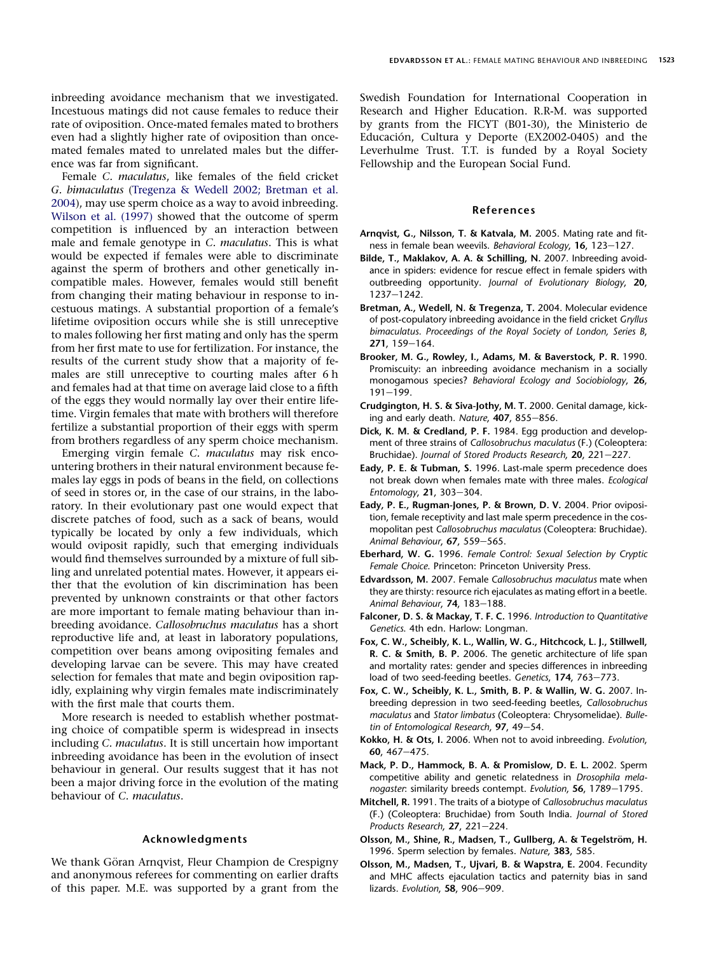<span id="page-4-0"></span>inbreeding avoidance mechanism that we investigated. Incestuous matings did not cause females to reduce their rate of oviposition. Once-mated females mated to brothers even had a slightly higher rate of oviposition than oncemated females mated to unrelated males but the difference was far from significant.

Female C. maculatus, like females of the field cricket G. bimaculatus [\(Tregenza & Wedell 2002; Bretman et al.](#page-5-0) [2004](#page-5-0)), may use sperm choice as a way to avoid inbreeding. [Wilson et al. \(1997\)](#page-5-0) showed that the outcome of sperm competition is influenced by an interaction between male and female genotype in C. maculatus. This is what would be expected if females were able to discriminate against the sperm of brothers and other genetically incompatible males. However, females would still benefit from changing their mating behaviour in response to incestuous matings. A substantial proportion of a female's lifetime oviposition occurs while she is still unreceptive to males following her first mating and only has the sperm from her first mate to use for fertilization. For instance, the results of the current study show that a majority of females are still unreceptive to courting males after 6 h and females had at that time on average laid close to a fifth of the eggs they would normally lay over their entire lifetime. Virgin females that mate with brothers will therefore fertilize a substantial proportion of their eggs with sperm from brothers regardless of any sperm choice mechanism.

Emerging virgin female C. maculatus may risk encountering brothers in their natural environment because females lay eggs in pods of beans in the field, on collections of seed in stores or, in the case of our strains, in the laboratory. In their evolutionary past one would expect that discrete patches of food, such as a sack of beans, would typically be located by only a few individuals, which would oviposit rapidly, such that emerging individuals would find themselves surrounded by a mixture of full sibling and unrelated potential mates. However, it appears either that the evolution of kin discrimination has been prevented by unknown constraints or that other factors are more important to female mating behaviour than inbreeding avoidance. Callosobruchus maculatus has a short reproductive life and, at least in laboratory populations, competition over beans among ovipositing females and developing larvae can be severe. This may have created selection for females that mate and begin oviposition rapidly, explaining why virgin females mate indiscriminately with the first male that courts them.

More research is needed to establish whether postmating choice of compatible sperm is widespread in insects including C. maculatus. It is still uncertain how important inbreeding avoidance has been in the evolution of insect behaviour in general. Our results suggest that it has not been a major driving force in the evolution of the mating behaviour of C. maculatus.

# Acknowledgments

We thank Göran Arnqvist, Fleur Champion de Crespigny and anonymous referees for commenting on earlier drafts of this paper. M.E. was supported by a grant from the

Swedish Foundation for International Cooperation in Research and Higher Education. R.R-M. was supported by grants from the FICYT (B01-30), the Ministerio de Educación, Cultura y Deporte (EX2002-0405) and the Leverhulme Trust. T.T. is funded by a Royal Society Fellowship and the European Social Fund.

EDVARDSSON ET AL.: FEMALE MATING BEHAVIOUR AND INBREEDING 1523

## References

- Arnqvist, G., Nilsson, T. & Katvala, M. 2005. Mating rate and fitness in female bean weevils. Behavioral Ecology,  $16$ ,  $123-127$ .
- Bilde, T., Maklakov, A. A. & Schilling, N. 2007. Inbreeding avoidance in spiders: evidence for rescue effect in female spiders with outbreeding opportunity. Journal of Evolutionary Biology, 20, 1237-1242.
- Bretman, A., Wedell, N. & Tregenza, T. 2004. Molecular evidence of post-copulatory inbreeding avoidance in the field cricket Gryllus bimaculatus. Proceedings of the Royal Society of London, Series B, 271, 159-164.
- Brooker, M. G., Rowley, I., Adams, M. & Baverstock, P. R. 1990. Promiscuity: an inbreeding avoidance mechanism in a socially monogamous species? Behavioral Ecology and Sociobiology, 26,  $191 - 199.$
- Crudgington, H. S. & Siva-Jothy, M. T. 2000. Genital damage, kicking and early death. Nature, 407, 855-856.
- Dick, K. M. & Credland, P. F. 1984. Egg production and development of three strains of Callosobruchus maculatus (F.) (Coleoptera: Bruchidae). Journal of Stored Products Research, 20, 221-227.
- Eady, P. E. & Tubman, S. 1996. Last-male sperm precedence does not break down when females mate with three males. Ecological Entomology,  $21$ ,  $303-304$ .
- Eady, P. E., Rugman-Jones, P. & Brown, D. V. 2004. Prior oviposition, female receptivity and last male sperm precedence in the cosmopolitan pest Callosobruchus maculatus (Coleoptera: Bruchidae). Animal Behaviour, 67, 559-565.
- Eberhard, W. G. 1996. Female Control: Sexual Selection by Cryptic Female Choice. Princeton: Princeton University Press.
- Edvardsson, M. 2007. Female Callosobruchus maculatus mate when they are thirsty: resource rich ejaculates as mating effort in a beetle. Animal Behaviour, 74, 183-188.
- Falconer, D. S. & Mackay, T. F. C. 1996. Introduction to Quantitative Genetics. 4th edn. Harlow: Longman.
- Fox, C. W., Scheibly, K. L., Wallin, W. G., Hitchcock, L. J., Stillwell, R. C. & Smith, B. P. 2006. The genetic architecture of life span and mortality rates: gender and species differences in inbreeding load of two seed-feeding beetles. Genetics, 174, 763-773.
- Fox, C. W., Scheibly, K. L., Smith, B. P. & Wallin, W. G. 2007. Inbreeding depression in two seed-feeding beetles, Callosobruchus maculatus and Stator limbatus (Coleoptera: Chrysomelidae). Bulletin of Entomological Research, 97, 49-54.
- Kokko, H. & Ots, I. 2006. When not to avoid inbreeding. Evolution, 60,  $467 - 475$ .
- Mack, P. D., Hammock, B. A. & Promislow, D. E. L. 2002. Sperm competitive ability and genetic relatedness in Drosophila melanogaster: similarity breeds contempt. Evolution, 56, 1789-1795.
- Mitchell, R. 1991. The traits of a biotype of Callosobruchus maculatus (F.) (Coleoptera: Bruchidae) from South India. Journal of Stored Products Research, 27, 221-224.
- Olsson, M., Shine, R., Madsen, T., Gullberg, A. & Tegelström, H. 1996. Sperm selection by females. Nature, 383, 585.
- Olsson, M., Madsen, T., Ujvari, B. & Wapstra, E. 2004. Fecundity and MHC affects ejaculation tactics and paternity bias in sand lizards. Evolution,  $58$ ,  $906-909$ .